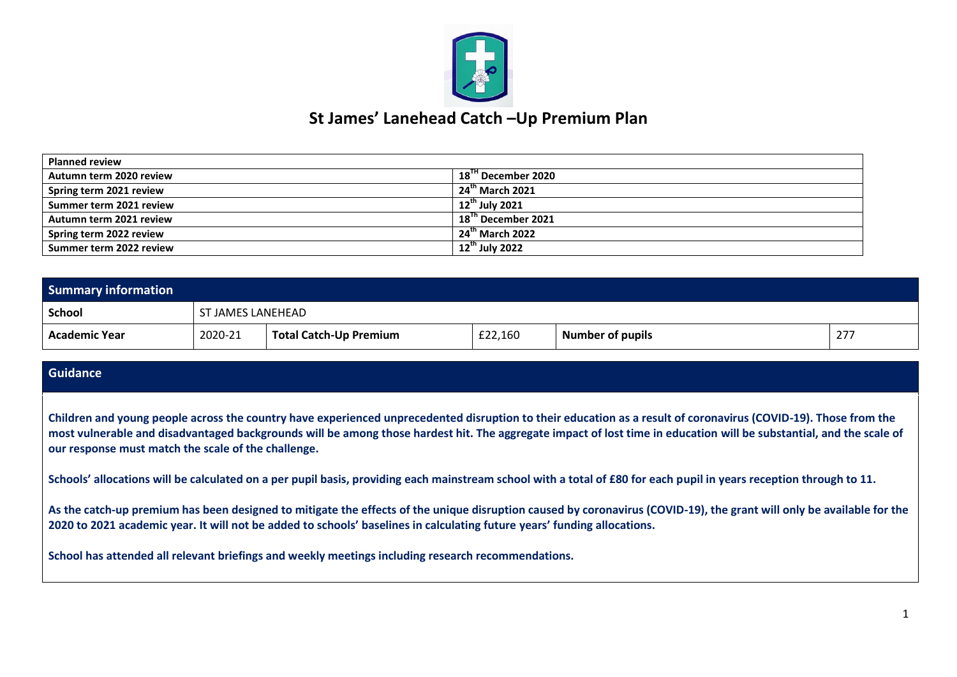

## **St James' Lanehead Catch –Up Premium Plan**

| <b>Planned review</b>   |                                |
|-------------------------|--------------------------------|
| Autumn term 2020 review | 18 <sup>'"</sup> December 2020 |
| Spring term 2021 review | $24th$ March 2021              |
| Summer term 2021 review | $12^{th}$ July 2021            |
| Autumn term 2021 review | $18Th$ December 2021           |
| Spring term 2022 review | $24^{\text{th}}$ March 2022    |
| Summer term 2022 review | $12^{\text{th}}$ July 2022     |

| <b>Summary information</b> |         |                        |         |                         |     |
|----------------------------|---------|------------------------|---------|-------------------------|-----|
| School                     |         | ST JAMES LANEHEAD      |         |                         |     |
| Academic Year              | 2020-21 | Total Catch-Up Premium | £22,160 | <b>Number of pupils</b> | 277 |

## **Guidance**

**Children and young people across the country have experienced unprecedented disruption to their education as a result of coronavirus (COVID-19). Those from the most vulnerable and disadvantaged backgrounds will be among those hardest hit. The aggregate impact of lost time in education will be substantial, and the scale of our response must match the scale of the challenge.**

Schools' allocations will be calculated on a per pupil basis, providing each mainstream school with a total of £80 for each pupil in years reception through to 11.

**As the catch-up premium has been designed to mitigate the effects of the unique disruption caused by coronavirus (COVID-19), the grant will only be available for the 2020 to 2021 academic year. It will not be added to schools' baselines in calculating future years' funding allocations.**

**School has attended all relevant briefings and weekly meetings including research recommendations.**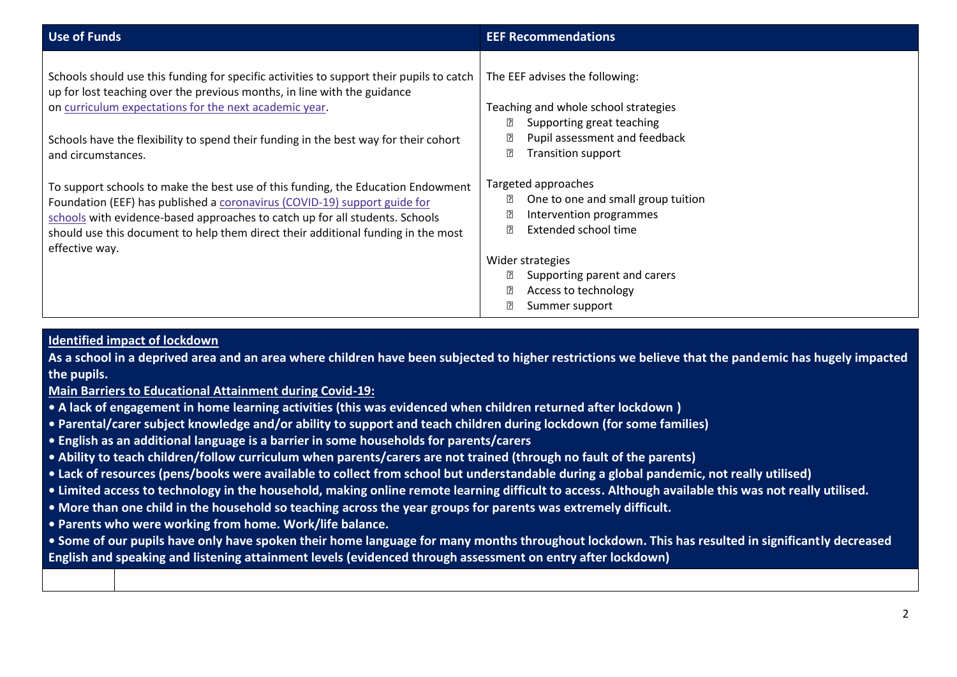| <b>Use of Funds</b>                                                                                                                                                                                                                                                                                                                                      | <b>EEF Recommendations</b>                                                                                                                     |
|----------------------------------------------------------------------------------------------------------------------------------------------------------------------------------------------------------------------------------------------------------------------------------------------------------------------------------------------------------|------------------------------------------------------------------------------------------------------------------------------------------------|
| Schools should use this funding for specific activities to support their pupils to catch<br>up for lost teaching over the previous months, in line with the guidance<br>on curriculum expectations for the next academic year.<br>Schools have the flexibility to spend their funding in the best way for their cohort                                   | The EEF advises the following:<br>Teaching and whole school strategies<br>卪<br>Supporting great teaching<br>Pupil assessment and feedback      |
| and circumstances.<br>To support schools to make the best use of this funding, the Education Endowment<br>Foundation (EEF) has published a coronavirus (COVID-19) support guide for<br>schools with evidence-based approaches to catch up for all students. Schools<br>should use this document to help them direct their additional funding in the most | <b>Transition support</b><br>₽<br>Targeted approaches<br>One to one and small group tuition<br>Intervention programmes<br>Extended school time |
| effective way.                                                                                                                                                                                                                                                                                                                                           | Wider strategies<br>Supporting parent and carers<br>Access to technology<br>Summer support                                                     |

## **Identified impact of lockdown**

**As a school in a deprived area and an area where children have been subjected to higher restrictions we believe that the pandemic has hugely impacted the pupils.** 

**Main Barriers to Educational Attainment during Covid-19:**

- **A lack of engagement in home learning activities (this was evidenced when children returned after lockdown )**
- **Parental/carer subject knowledge and/or ability to support and teach children during lockdown (for some families)**
- **English as an additional language is a barrier in some households for parents/carers**
- **Ability to teach children/follow curriculum when parents/carers are not trained (through no fault of the parents)**
- **Lack of resources (pens/books were available to collect from school but understandable during a global pandemic, not really utilised)**
- **Limited access to technology in the household, making online remote learning difficult to access. Although available this was not really utilised.**
- **More than one child in the household so teaching across the year groups for parents was extremely difficult.**
- **Parents who were working from home. Work/life balance.**
- **Some of our pupils have only have spoken their home language for many months throughout lockdown. This has resulted in significantly decreased English and speaking and listening attainment levels (evidenced through assessment on entry after lockdown)**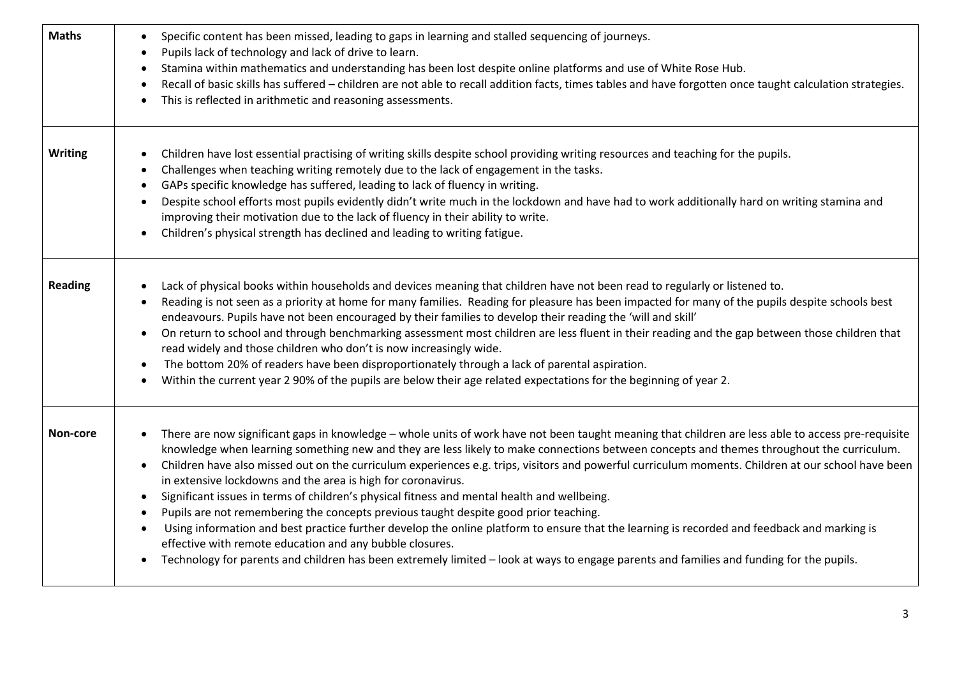| <b>Maths</b>   | Specific content has been missed, leading to gaps in learning and stalled sequencing of journeys.<br>$\bullet$<br>Pupils lack of technology and lack of drive to learn.<br>$\bullet$<br>Stamina within mathematics and understanding has been lost despite online platforms and use of White Rose Hub.<br>$\bullet$<br>Recall of basic skills has suffered - children are not able to recall addition facts, times tables and have forgotten once taught calculation strategies.<br>$\bullet$<br>This is reflected in arithmetic and reasoning assessments.                                                                                                                                                                                                                                                                                                                                                                                                                                                                                                                                                             |
|----------------|-------------------------------------------------------------------------------------------------------------------------------------------------------------------------------------------------------------------------------------------------------------------------------------------------------------------------------------------------------------------------------------------------------------------------------------------------------------------------------------------------------------------------------------------------------------------------------------------------------------------------------------------------------------------------------------------------------------------------------------------------------------------------------------------------------------------------------------------------------------------------------------------------------------------------------------------------------------------------------------------------------------------------------------------------------------------------------------------------------------------------|
| <b>Writing</b> | Children have lost essential practising of writing skills despite school providing writing resources and teaching for the pupils.<br>$\bullet$<br>Challenges when teaching writing remotely due to the lack of engagement in the tasks.<br>GAPs specific knowledge has suffered, leading to lack of fluency in writing.<br>Despite school efforts most pupils evidently didn't write much in the lockdown and have had to work additionally hard on writing stamina and<br>$\bullet$<br>improving their motivation due to the lack of fluency in their ability to write.<br>Children's physical strength has declined and leading to writing fatigue.                                                                                                                                                                                                                                                                                                                                                                                                                                                                   |
| <b>Reading</b> | Lack of physical books within households and devices meaning that children have not been read to regularly or listened to.<br>Reading is not seen as a priority at home for many families. Reading for pleasure has been impacted for many of the pupils despite schools best<br>endeavours. Pupils have not been encouraged by their families to develop their reading the 'will and skill'<br>On return to school and through benchmarking assessment most children are less fluent in their reading and the gap between those children that<br>$\bullet$<br>read widely and those children who don't is now increasingly wide.<br>The bottom 20% of readers have been disproportionately through a lack of parental aspiration.<br>$\bullet$<br>Within the current year 2 90% of the pupils are below their age related expectations for the beginning of year 2.<br>$\bullet$                                                                                                                                                                                                                                       |
| Non-core       | There are now significant gaps in knowledge - whole units of work have not been taught meaning that children are less able to access pre-requisite<br>$\bullet$<br>knowledge when learning something new and they are less likely to make connections between concepts and themes throughout the curriculum.<br>Children have also missed out on the curriculum experiences e.g. trips, visitors and powerful curriculum moments. Children at our school have been<br>$\bullet$<br>in extensive lockdowns and the area is high for coronavirus.<br>Significant issues in terms of children's physical fitness and mental health and wellbeing.<br>$\bullet$<br>Pupils are not remembering the concepts previous taught despite good prior teaching.<br>Using information and best practice further develop the online platform to ensure that the learning is recorded and feedback and marking is<br>$\bullet$<br>effective with remote education and any bubble closures.<br>Technology for parents and children has been extremely limited - look at ways to engage parents and families and funding for the pupils. |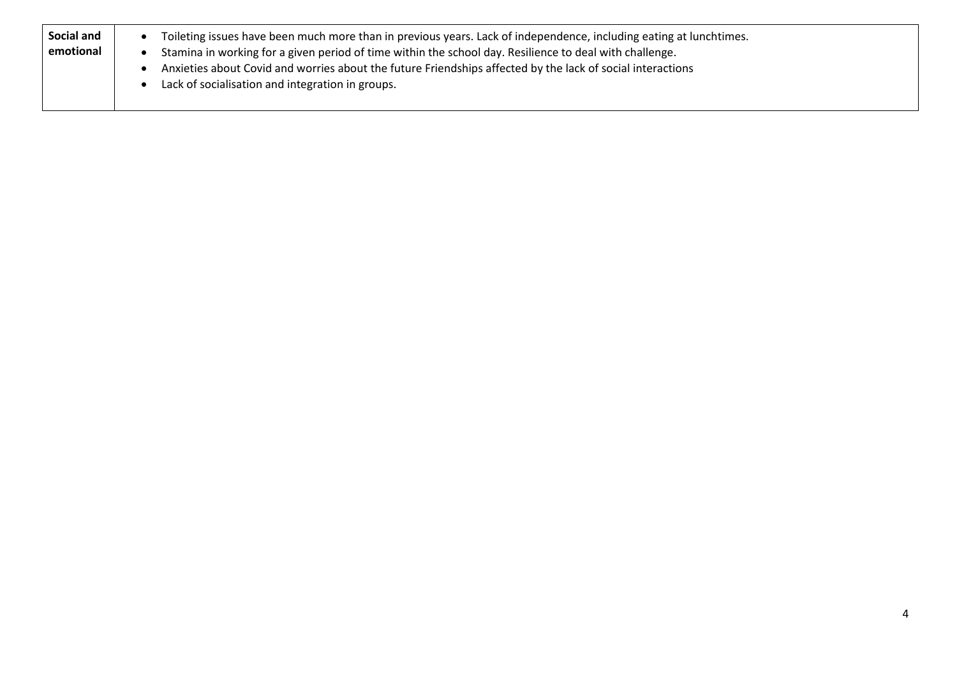| Social and<br>emotional | Toileting issues have been much more than in previous years. Lack of independence, including eating at lunchtimes.<br>Stamina in working for a given period of time within the school day. Resilience to deal with challenge.<br>Anxieties about Covid and worries about the future Friendships affected by the lack of social interactions |
|-------------------------|---------------------------------------------------------------------------------------------------------------------------------------------------------------------------------------------------------------------------------------------------------------------------------------------------------------------------------------------|
|                         | Lack of socialisation and integration in groups.                                                                                                                                                                                                                                                                                            |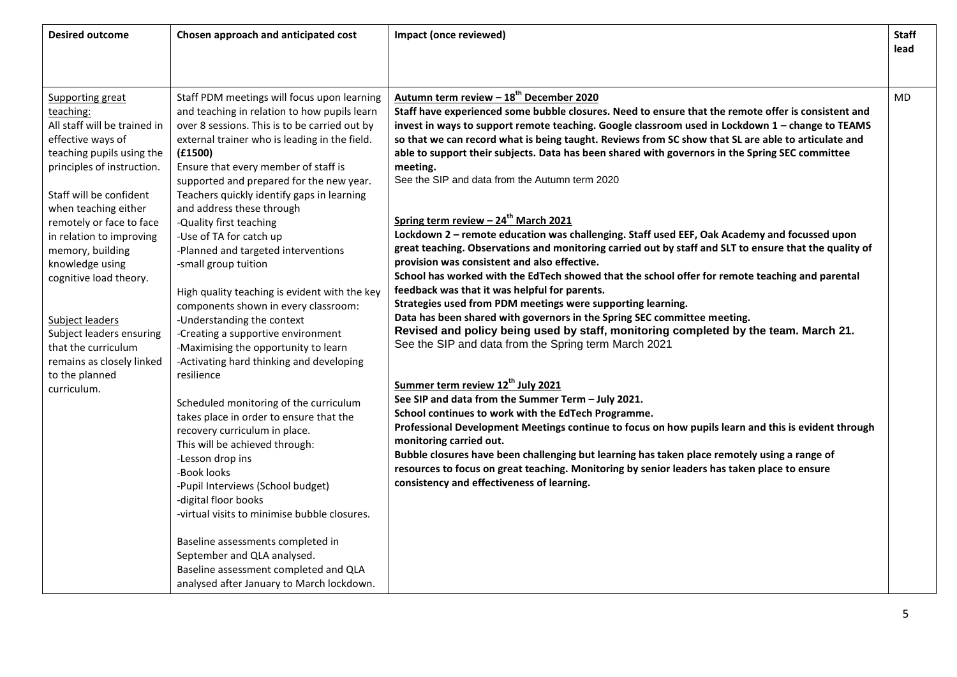|                                                                                                                                                                                                                                                                                                                                                                                                                                                                                                                                                                                                                                                                                                                                                                                                                                                                                                                                                                                                                                                                                                                                                                                                                                                                                                                                                                                                                                                                                                                                                                                                                                                                                                                                                                                                                                                                                                                                                                                                                                                                                                                                                                                                                                                                                                                                                                                                                                                                                                                                                                                                                                                                                                                                                                                                                                                                                                                                                                                                                                                                                                                                                                                                                                                                                                                                                                                                                                                                                             | <b>Desired outcome</b> | Chosen approach and anticipated cost | Impact (once reviewed)                              | <b>Staff</b><br>lead |
|---------------------------------------------------------------------------------------------------------------------------------------------------------------------------------------------------------------------------------------------------------------------------------------------------------------------------------------------------------------------------------------------------------------------------------------------------------------------------------------------------------------------------------------------------------------------------------------------------------------------------------------------------------------------------------------------------------------------------------------------------------------------------------------------------------------------------------------------------------------------------------------------------------------------------------------------------------------------------------------------------------------------------------------------------------------------------------------------------------------------------------------------------------------------------------------------------------------------------------------------------------------------------------------------------------------------------------------------------------------------------------------------------------------------------------------------------------------------------------------------------------------------------------------------------------------------------------------------------------------------------------------------------------------------------------------------------------------------------------------------------------------------------------------------------------------------------------------------------------------------------------------------------------------------------------------------------------------------------------------------------------------------------------------------------------------------------------------------------------------------------------------------------------------------------------------------------------------------------------------------------------------------------------------------------------------------------------------------------------------------------------------------------------------------------------------------------------------------------------------------------------------------------------------------------------------------------------------------------------------------------------------------------------------------------------------------------------------------------------------------------------------------------------------------------------------------------------------------------------------------------------------------------------------------------------------------------------------------------------------------------------------------------------------------------------------------------------------------------------------------------------------------------------------------------------------------------------------------------------------------------------------------------------------------------------------------------------------------------------------------------------------------------------------------------------------------------------------------------------------------|------------------------|--------------------------------------|-----------------------------------------------------|----------------------|
| Staff PDM meetings will focus upon learning<br>Supporting great<br>Staff have experienced some bubble closures. Need to ensure that the remote offer is consistent and<br>and teaching in relation to how pupils learn<br>teaching:<br>All staff will be trained in<br>over 8 sessions. This is to be carried out by<br>invest in ways to support remote teaching. Google classroom used in Lockdown 1 - change to TEAMS<br>effective ways of<br>external trainer who is leading in the field.<br>so that we can record what is being taught. Reviews from SC show that SL are able to articulate and<br>teaching pupils using the<br>able to support their subjects. Data has been shared with governors in the Spring SEC committee<br>(f1500)<br>principles of instruction.<br>Ensure that every member of staff is<br>meeting.<br>See the SIP and data from the Autumn term 2020<br>supported and prepared for the new year.<br>Staff will be confident<br>Teachers quickly identify gaps in learning<br>when teaching either<br>and address these through<br>Spring term review - 24 <sup>th</sup> March 2021<br>-Quality first teaching<br>remotely or face to face<br>Lockdown 2 - remote education was challenging. Staff used EEF, Oak Academy and focussed upon<br>in relation to improving<br>-Use of TA for catch up<br>great teaching. Observations and monitoring carried out by staff and SLT to ensure that the quality of<br>-Planned and targeted interventions<br>memory, building<br>provision was consistent and also effective.<br>knowledge using<br>-small group tuition<br>School has worked with the EdTech showed that the school offer for remote teaching and parental<br>cognitive load theory.<br>feedback was that it was helpful for parents.<br>High quality teaching is evident with the key<br>Strategies used from PDM meetings were supporting learning.<br>components shown in every classroom:<br>Data has been shared with governors in the Spring SEC committee meeting.<br>Subject leaders<br>-Understanding the context<br>Revised and policy being used by staff, monitoring completed by the team. March 21.<br>-Creating a supportive environment<br>Subject leaders ensuring<br>See the SIP and data from the Spring term March 2021<br>that the curriculum<br>-Maximising the opportunity to learn<br>-Activating hard thinking and developing<br>remains as closely linked<br>to the planned<br>resilience<br>Summer term review 12 <sup>th</sup> July 2021<br>curriculum.<br>See SIP and data from the Summer Term - July 2021.<br>Scheduled monitoring of the curriculum<br>School continues to work with the EdTech Programme.<br>takes place in order to ensure that the<br>Professional Development Meetings continue to focus on how pupils learn and this is evident through<br>recovery curriculum in place.<br>monitoring carried out.<br>This will be achieved through:<br>Bubble closures have been challenging but learning has taken place remotely using a range of<br>-Lesson drop ins<br>resources to focus on great teaching. Monitoring by senior leaders has taken place to ensure<br>-Book looks<br>consistency and effectiveness of learning.<br>-Pupil Interviews (School budget)<br>-digital floor books<br>-virtual visits to minimise bubble closures.<br>Baseline assessments completed in<br>September and QLA analysed.<br>Baseline assessment completed and QLA<br>analysed after January to March lockdown. |                        |                                      | Autumn term review - 18 <sup>th</sup> December 2020 | <b>MD</b>            |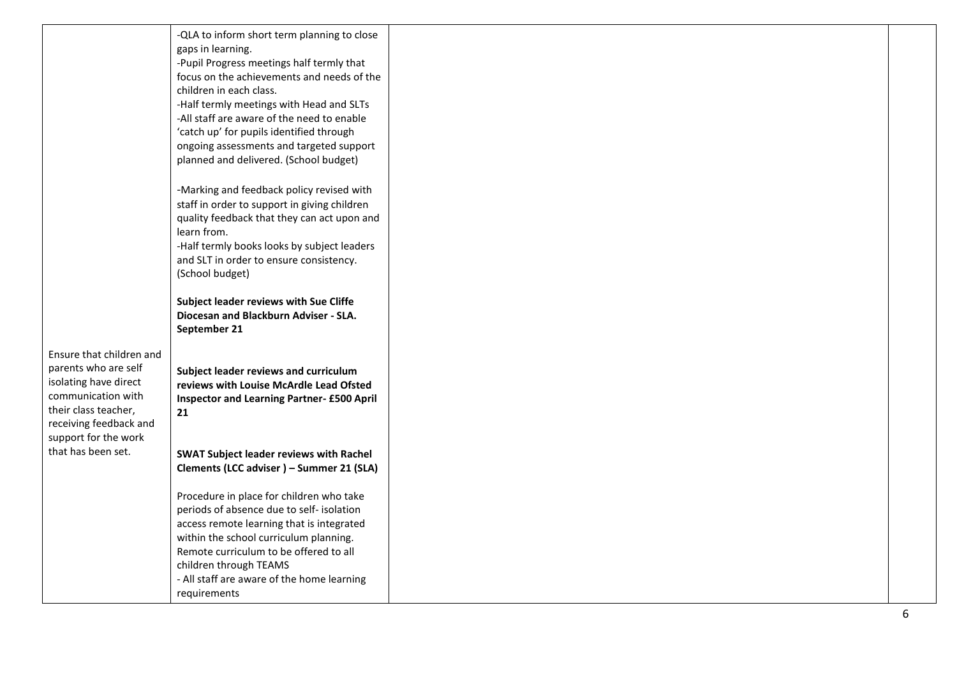|                                            | -QLA to inform short term planning to close                                            |
|--------------------------------------------|----------------------------------------------------------------------------------------|
|                                            | gaps in learning.<br>-Pupil Progress meetings half termly that                         |
|                                            | focus on the achievements and needs of the                                             |
|                                            | children in each class.                                                                |
|                                            | -Half termly meetings with Head and SLTs                                               |
|                                            | -All staff are aware of the need to enable<br>'catch up' for pupils identified through |
|                                            | ongoing assessments and targeted support                                               |
|                                            | planned and delivered. (School budget)                                                 |
|                                            | -Marking and feedback policy revised with                                              |
|                                            | staff in order to support in giving children                                           |
|                                            | quality feedback that they can act upon and<br>learn from.                             |
|                                            | -Half termly books looks by subject leaders                                            |
|                                            | and SLT in order to ensure consistency.                                                |
|                                            | (School budget)                                                                        |
|                                            | Subject leader reviews with Sue Cliffe                                                 |
|                                            | Diocesan and Blackburn Adviser - SLA.<br>September 21                                  |
| Ensure that children and                   |                                                                                        |
| parents who are self                       | Subject leader reviews and curriculum                                                  |
| isolating have direct                      | reviews with Louise McArdle Lead Ofsted                                                |
| communication with<br>their class teacher, | <b>Inspector and Learning Partner- £500 April</b>                                      |
| receiving feedback and                     | 21                                                                                     |
| support for the work                       |                                                                                        |
| that has been set.                         | <b>SWAT Subject leader reviews with Rachel</b>                                         |
|                                            | Clements (LCC adviser) - Summer 21 (SLA)                                               |
|                                            | Procedure in place for children who take                                               |
|                                            | periods of absence due to self- isolation                                              |
|                                            | access remote learning that is integrated<br>within the school curriculum planning.    |
|                                            | Remote curriculum to be offered to all                                                 |
|                                            | children through TEAMS                                                                 |
|                                            | - All staff are aware of the home learning<br>requirements                             |
|                                            |                                                                                        |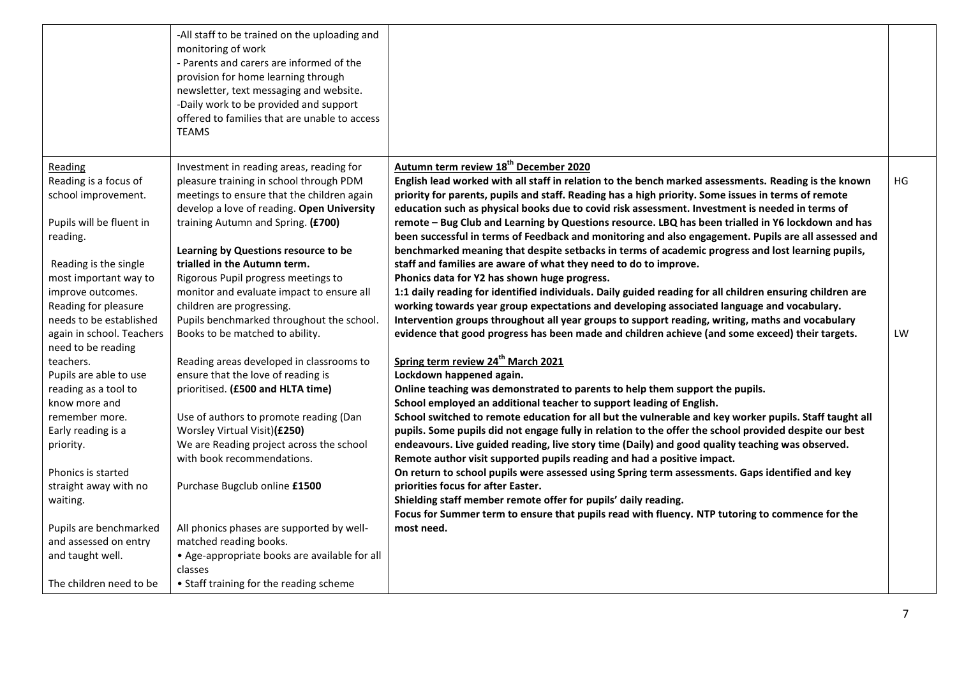|                                                 | -All staff to be trained on the uploading and<br>monitoring of work<br>- Parents and carers are informed of the<br>provision for home learning through<br>newsletter, text messaging and website.<br>-Daily work to be provided and support<br>offered to families that are unable to access<br><b>TEAMS</b> |                                                                                                                                                                                                           |    |
|-------------------------------------------------|--------------------------------------------------------------------------------------------------------------------------------------------------------------------------------------------------------------------------------------------------------------------------------------------------------------|-----------------------------------------------------------------------------------------------------------------------------------------------------------------------------------------------------------|----|
| Reading<br>Reading is a focus of                | Investment in reading areas, reading for<br>pleasure training in school through PDM                                                                                                                                                                                                                          | Autumn term review 18 <sup>th</sup> December 2020<br>English lead worked with all staff in relation to the bench marked assessments. Reading is the known                                                 | HG |
| school improvement.                             | meetings to ensure that the children again<br>develop a love of reading. Open University                                                                                                                                                                                                                     | priority for parents, pupils and staff. Reading has a high priority. Some issues in terms of remote<br>education such as physical books due to covid risk assessment. Investment is needed in terms of    |    |
| Pupils will be fluent in                        | training Autumn and Spring. (£700)                                                                                                                                                                                                                                                                           | remote - Bug Club and Learning by Questions resource. LBQ has been trialled in Y6 lockdown and has                                                                                                        |    |
| reading.                                        | Learning by Questions resource to be                                                                                                                                                                                                                                                                         | been successful in terms of Feedback and monitoring and also engagement. Pupils are all assessed and<br>benchmarked meaning that despite setbacks in terms of academic progress and lost learning pupils, |    |
| Reading is the single                           | trialled in the Autumn term.                                                                                                                                                                                                                                                                                 | staff and families are aware of what they need to do to improve.                                                                                                                                          |    |
| most important way to                           | Rigorous Pupil progress meetings to                                                                                                                                                                                                                                                                          | Phonics data for Y2 has shown huge progress.                                                                                                                                                              |    |
| improve outcomes.                               | monitor and evaluate impact to ensure all                                                                                                                                                                                                                                                                    | 1:1 daily reading for identified individuals. Daily guided reading for all children ensuring children are                                                                                                 |    |
| Reading for pleasure                            | children are progressing.                                                                                                                                                                                                                                                                                    | working towards year group expectations and developing associated language and vocabulary.                                                                                                                |    |
| needs to be established                         | Pupils benchmarked throughout the school.                                                                                                                                                                                                                                                                    | Intervention groups throughout all year groups to support reading, writing, maths and vocabulary                                                                                                          |    |
| again in school. Teachers<br>need to be reading | Books to be matched to ability.                                                                                                                                                                                                                                                                              | evidence that good progress has been made and children achieve (and some exceed) their targets.                                                                                                           | LW |
| teachers.                                       | Reading areas developed in classrooms to                                                                                                                                                                                                                                                                     | Spring term review 24 <sup>th</sup> March 2021                                                                                                                                                            |    |
| Pupils are able to use                          | ensure that the love of reading is                                                                                                                                                                                                                                                                           | Lockdown happened again.                                                                                                                                                                                  |    |
| reading as a tool to<br>know more and           | prioritised. (£500 and HLTA time)                                                                                                                                                                                                                                                                            | Online teaching was demonstrated to parents to help them support the pupils.<br>School employed an additional teacher to support leading of English.                                                      |    |
| remember more.                                  | Use of authors to promote reading (Dan                                                                                                                                                                                                                                                                       | School switched to remote education for all but the vulnerable and key worker pupils. Staff taught all                                                                                                    |    |
| Early reading is a                              | Worsley Virtual Visit)(£250)                                                                                                                                                                                                                                                                                 | pupils. Some pupils did not engage fully in relation to the offer the school provided despite our best                                                                                                    |    |
| priority.                                       | We are Reading project across the school                                                                                                                                                                                                                                                                     | endeavours. Live guided reading, live story time (Daily) and good quality teaching was observed.                                                                                                          |    |
|                                                 | with book recommendations.                                                                                                                                                                                                                                                                                   | Remote author visit supported pupils reading and had a positive impact.                                                                                                                                   |    |
| Phonics is started                              |                                                                                                                                                                                                                                                                                                              | On return to school pupils were assessed using Spring term assessments. Gaps identified and key                                                                                                           |    |
| straight away with no                           | Purchase Bugclub online £1500                                                                                                                                                                                                                                                                                | priorities focus for after Easter.                                                                                                                                                                        |    |
| waiting.                                        |                                                                                                                                                                                                                                                                                                              | Shielding staff member remote offer for pupils' daily reading.                                                                                                                                            |    |
|                                                 |                                                                                                                                                                                                                                                                                                              | Focus for Summer term to ensure that pupils read with fluency. NTP tutoring to commence for the                                                                                                           |    |
| Pupils are benchmarked<br>and assessed on entry | All phonics phases are supported by well-<br>matched reading books.                                                                                                                                                                                                                                          | most need.                                                                                                                                                                                                |    |
| and taught well.                                | • Age-appropriate books are available for all                                                                                                                                                                                                                                                                |                                                                                                                                                                                                           |    |
|                                                 | classes                                                                                                                                                                                                                                                                                                      |                                                                                                                                                                                                           |    |
| The children need to be                         | • Staff training for the reading scheme                                                                                                                                                                                                                                                                      |                                                                                                                                                                                                           |    |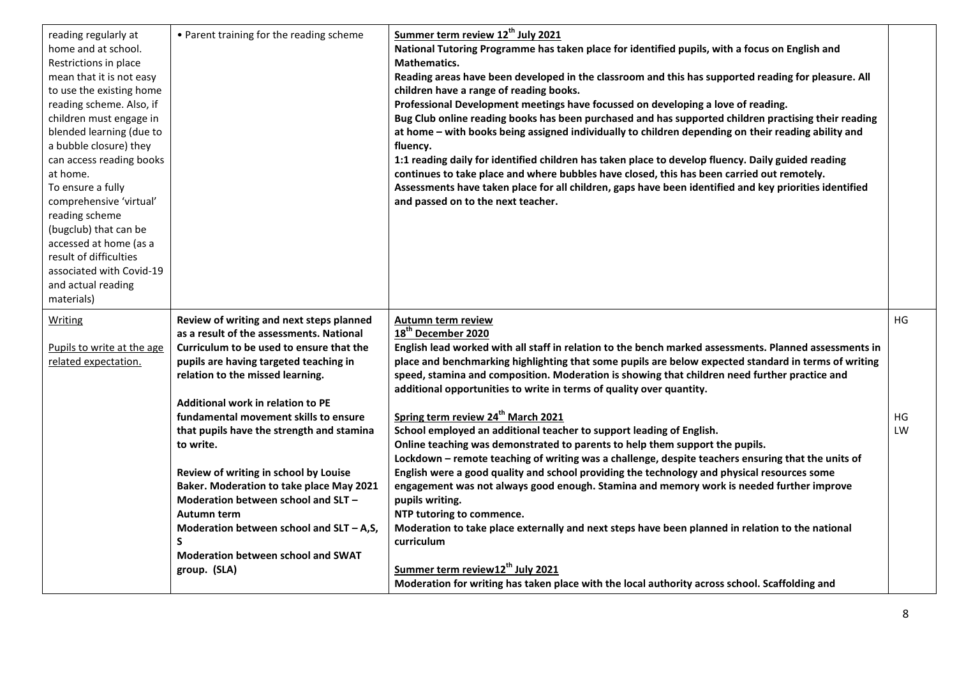| reading regularly at<br>home and at school.<br>Restrictions in place<br>mean that it is not easy<br>to use the existing home<br>reading scheme. Also, if<br>children must engage in<br>blended learning (due to<br>a bubble closure) they<br>can access reading books<br>at home.<br>To ensure a fully<br>comprehensive 'virtual'<br>reading scheme<br>(bugclub) that can be<br>accessed at home (as a<br>result of difficulties<br>associated with Covid-19<br>and actual reading<br>materials) | • Parent training for the reading scheme                                                                                         | Summer term review 12 <sup>th</sup> July 2021<br>National Tutoring Programme has taken place for identified pupils, with a focus on English and<br>Mathematics.<br>Reading areas have been developed in the classroom and this has supported reading for pleasure. All<br>children have a range of reading books.<br>Professional Development meetings have focussed on developing a love of reading.<br>Bug Club online reading books has been purchased and has supported children practising their reading<br>at home - with books being assigned individually to children depending on their reading ability and<br>fluency.<br>1:1 reading daily for identified children has taken place to develop fluency. Daily guided reading<br>continues to take place and where bubbles have closed, this has been carried out remotely.<br>Assessments have taken place for all children, gaps have been identified and key priorities identified<br>and passed on to the next teacher. |    |
|--------------------------------------------------------------------------------------------------------------------------------------------------------------------------------------------------------------------------------------------------------------------------------------------------------------------------------------------------------------------------------------------------------------------------------------------------------------------------------------------------|----------------------------------------------------------------------------------------------------------------------------------|--------------------------------------------------------------------------------------------------------------------------------------------------------------------------------------------------------------------------------------------------------------------------------------------------------------------------------------------------------------------------------------------------------------------------------------------------------------------------------------------------------------------------------------------------------------------------------------------------------------------------------------------------------------------------------------------------------------------------------------------------------------------------------------------------------------------------------------------------------------------------------------------------------------------------------------------------------------------------------------|----|
| Writing<br>Pupils to write at the age                                                                                                                                                                                                                                                                                                                                                                                                                                                            | Review of writing and next steps planned<br>as a result of the assessments. National<br>Curriculum to be used to ensure that the | <b>Autumn term review</b><br>18 <sup>th</sup> December 2020<br>English lead worked with all staff in relation to the bench marked assessments. Planned assessments in                                                                                                                                                                                                                                                                                                                                                                                                                                                                                                                                                                                                                                                                                                                                                                                                                | HG |
| related expectation.                                                                                                                                                                                                                                                                                                                                                                                                                                                                             | pupils are having targeted teaching in<br>relation to the missed learning.                                                       | place and benchmarking highlighting that some pupils are below expected standard in terms of writing<br>speed, stamina and composition. Moderation is showing that children need further practice and<br>additional opportunities to write in terms of quality over quantity.                                                                                                                                                                                                                                                                                                                                                                                                                                                                                                                                                                                                                                                                                                        |    |
|                                                                                                                                                                                                                                                                                                                                                                                                                                                                                                  | <b>Additional work in relation to PE</b>                                                                                         |                                                                                                                                                                                                                                                                                                                                                                                                                                                                                                                                                                                                                                                                                                                                                                                                                                                                                                                                                                                      |    |
|                                                                                                                                                                                                                                                                                                                                                                                                                                                                                                  | fundamental movement skills to ensure                                                                                            | Spring term review 24 <sup>th</sup> March 2021                                                                                                                                                                                                                                                                                                                                                                                                                                                                                                                                                                                                                                                                                                                                                                                                                                                                                                                                       | HG |
|                                                                                                                                                                                                                                                                                                                                                                                                                                                                                                  | that pupils have the strength and stamina                                                                                        | School employed an additional teacher to support leading of English.                                                                                                                                                                                                                                                                                                                                                                                                                                                                                                                                                                                                                                                                                                                                                                                                                                                                                                                 | LW |
|                                                                                                                                                                                                                                                                                                                                                                                                                                                                                                  | to write.                                                                                                                        | Online teaching was demonstrated to parents to help them support the pupils.<br>Lockdown - remote teaching of writing was a challenge, despite teachers ensuring that the units of                                                                                                                                                                                                                                                                                                                                                                                                                                                                                                                                                                                                                                                                                                                                                                                                   |    |
|                                                                                                                                                                                                                                                                                                                                                                                                                                                                                                  | Review of writing in school by Louise                                                                                            | English were a good quality and school providing the technology and physical resources some                                                                                                                                                                                                                                                                                                                                                                                                                                                                                                                                                                                                                                                                                                                                                                                                                                                                                          |    |
|                                                                                                                                                                                                                                                                                                                                                                                                                                                                                                  | Baker. Moderation to take place May 2021                                                                                         | engagement was not always good enough. Stamina and memory work is needed further improve                                                                                                                                                                                                                                                                                                                                                                                                                                                                                                                                                                                                                                                                                                                                                                                                                                                                                             |    |
|                                                                                                                                                                                                                                                                                                                                                                                                                                                                                                  | Moderation between school and SLT -                                                                                              | pupils writing.                                                                                                                                                                                                                                                                                                                                                                                                                                                                                                                                                                                                                                                                                                                                                                                                                                                                                                                                                                      |    |
|                                                                                                                                                                                                                                                                                                                                                                                                                                                                                                  | Autumn term                                                                                                                      | NTP tutoring to commence.                                                                                                                                                                                                                                                                                                                                                                                                                                                                                                                                                                                                                                                                                                                                                                                                                                                                                                                                                            |    |
|                                                                                                                                                                                                                                                                                                                                                                                                                                                                                                  | Moderation between school and $SLT - A$ , S,<br>$\mathsf{s}$                                                                     | Moderation to take place externally and next steps have been planned in relation to the national<br>curriculum                                                                                                                                                                                                                                                                                                                                                                                                                                                                                                                                                                                                                                                                                                                                                                                                                                                                       |    |
|                                                                                                                                                                                                                                                                                                                                                                                                                                                                                                  | Moderation between school and SWAT                                                                                               |                                                                                                                                                                                                                                                                                                                                                                                                                                                                                                                                                                                                                                                                                                                                                                                                                                                                                                                                                                                      |    |
|                                                                                                                                                                                                                                                                                                                                                                                                                                                                                                  | group. (SLA)                                                                                                                     | Summer term review12 <sup>th</sup> July 2021                                                                                                                                                                                                                                                                                                                                                                                                                                                                                                                                                                                                                                                                                                                                                                                                                                                                                                                                         |    |
|                                                                                                                                                                                                                                                                                                                                                                                                                                                                                                  |                                                                                                                                  |                                                                                                                                                                                                                                                                                                                                                                                                                                                                                                                                                                                                                                                                                                                                                                                                                                                                                                                                                                                      |    |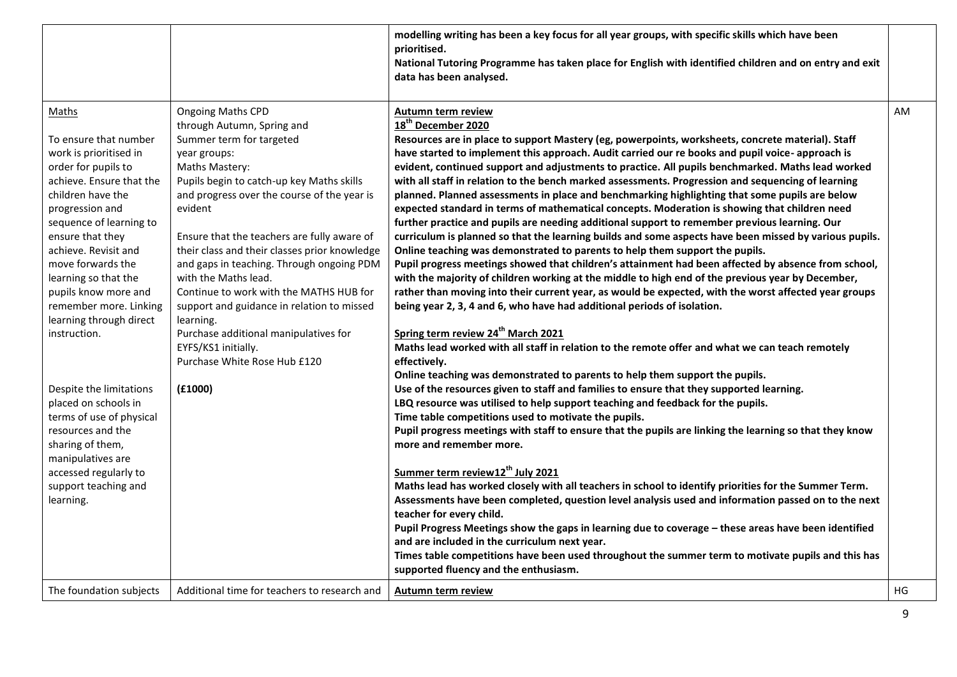|                                                                                                                                                                                                                                                                                                                                                                                                                                                                                                                                                                                 |                                                                                                                                                                                                                                                                                                                                                                                                                                                                                                                                                                                                                   | modelling writing has been a key focus for all year groups, with specific skills which have been<br>prioritised.<br>National Tutoring Programme has taken place for English with identified children and on entry and exit<br>data has been analysed.                                                                                                                                                                                                                                                                                                                                                                                                                                                                                                                                                                                                                                                                                                                                                                                                                                                                                                                                                                                                                                                                                                                                                                                                                                                                                                                                                                                                                                                                                                                                                                                                                                                                                                                                                                                                                                                                                                                                                                                                                                                                                                                                                                                                                                                                                                                                                        |    |
|---------------------------------------------------------------------------------------------------------------------------------------------------------------------------------------------------------------------------------------------------------------------------------------------------------------------------------------------------------------------------------------------------------------------------------------------------------------------------------------------------------------------------------------------------------------------------------|-------------------------------------------------------------------------------------------------------------------------------------------------------------------------------------------------------------------------------------------------------------------------------------------------------------------------------------------------------------------------------------------------------------------------------------------------------------------------------------------------------------------------------------------------------------------------------------------------------------------|--------------------------------------------------------------------------------------------------------------------------------------------------------------------------------------------------------------------------------------------------------------------------------------------------------------------------------------------------------------------------------------------------------------------------------------------------------------------------------------------------------------------------------------------------------------------------------------------------------------------------------------------------------------------------------------------------------------------------------------------------------------------------------------------------------------------------------------------------------------------------------------------------------------------------------------------------------------------------------------------------------------------------------------------------------------------------------------------------------------------------------------------------------------------------------------------------------------------------------------------------------------------------------------------------------------------------------------------------------------------------------------------------------------------------------------------------------------------------------------------------------------------------------------------------------------------------------------------------------------------------------------------------------------------------------------------------------------------------------------------------------------------------------------------------------------------------------------------------------------------------------------------------------------------------------------------------------------------------------------------------------------------------------------------------------------------------------------------------------------------------------------------------------------------------------------------------------------------------------------------------------------------------------------------------------------------------------------------------------------------------------------------------------------------------------------------------------------------------------------------------------------------------------------------------------------------------------------------------------------|----|
| Maths<br>To ensure that number<br>work is prioritised in<br>order for pupils to<br>achieve. Ensure that the<br>children have the<br>progression and<br>sequence of learning to<br>ensure that they<br>achieve. Revisit and<br>move forwards the<br>learning so that the<br>pupils know more and<br>remember more. Linking<br>learning through direct<br>instruction.<br>Despite the limitations<br>placed on schools in<br>terms of use of physical<br>resources and the<br>sharing of them,<br>manipulatives are<br>accessed regularly to<br>support teaching and<br>learning. | <b>Ongoing Maths CPD</b><br>through Autumn, Spring and<br>Summer term for targeted<br>year groups:<br>Maths Mastery:<br>Pupils begin to catch-up key Maths skills<br>and progress over the course of the year is<br>evident<br>Ensure that the teachers are fully aware of<br>their class and their classes prior knowledge<br>and gaps in teaching. Through ongoing PDM<br>with the Maths lead.<br>Continue to work with the MATHS HUB for<br>support and guidance in relation to missed<br>learning.<br>Purchase additional manipulatives for<br>EYFS/KS1 initially.<br>Purchase White Rose Hub £120<br>(E1000) | Autumn term review<br>18 <sup>th</sup> December 2020<br>Resources are in place to support Mastery (eg, powerpoints, worksheets, concrete material). Staff<br>have started to implement this approach. Audit carried our re books and pupil voice- approach is<br>evident, continued support and adjustments to practice. All pupils benchmarked. Maths lead worked<br>with all staff in relation to the bench marked assessments. Progression and sequencing of learning<br>planned. Planned assessments in place and benchmarking highlighting that some pupils are below<br>expected standard in terms of mathematical concepts. Moderation is showing that children need<br>further practice and pupils are needing additional support to remember previous learning. Our<br>curriculum is planned so that the learning builds and some aspects have been missed by various pupils.<br>Online teaching was demonstrated to parents to help them support the pupils.<br>Pupil progress meetings showed that children's attainment had been affected by absence from school,<br>with the majority of children working at the middle to high end of the previous year by December,<br>rather than moving into their current year, as would be expected, with the worst affected year groups<br>being year 2, 3, 4 and 6, who have had additional periods of isolation.<br>Spring term review 24 <sup>th</sup> March 2021<br>Maths lead worked with all staff in relation to the remote offer and what we can teach remotely<br>effectively.<br>Online teaching was demonstrated to parents to help them support the pupils.<br>Use of the resources given to staff and families to ensure that they supported learning.<br>LBQ resource was utilised to help support teaching and feedback for the pupils.<br>Time table competitions used to motivate the pupils.<br>Pupil progress meetings with staff to ensure that the pupils are linking the learning so that they know<br>more and remember more.<br>Summer term review12 <sup>th</sup> July 2021<br>Maths lead has worked closely with all teachers in school to identify priorities for the Summer Term.<br>Assessments have been completed, question level analysis used and information passed on to the next<br>teacher for every child.<br>Pupil Progress Meetings show the gaps in learning due to coverage - these areas have been identified<br>and are included in the curriculum next year.<br>Times table competitions have been used throughout the summer term to motivate pupils and this has<br>supported fluency and the enthusiasm. | AM |
| The foundation subjects                                                                                                                                                                                                                                                                                                                                                                                                                                                                                                                                                         | Additional time for teachers to research and                                                                                                                                                                                                                                                                                                                                                                                                                                                                                                                                                                      | Autumn term review                                                                                                                                                                                                                                                                                                                                                                                                                                                                                                                                                                                                                                                                                                                                                                                                                                                                                                                                                                                                                                                                                                                                                                                                                                                                                                                                                                                                                                                                                                                                                                                                                                                                                                                                                                                                                                                                                                                                                                                                                                                                                                                                                                                                                                                                                                                                                                                                                                                                                                                                                                                           | HG |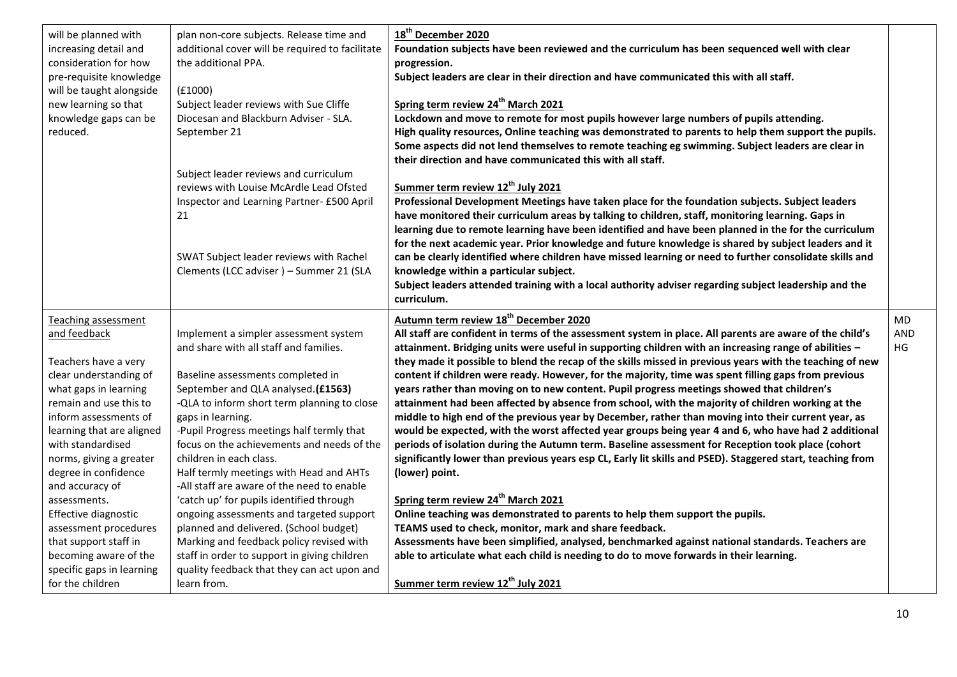| 18 <sup>th</sup> December 2020<br>will be planned with<br>plan non-core subjects. Release time and<br>additional cover will be required to facilitate<br>increasing detail and<br>Foundation subjects have been reviewed and the curriculum has been sequenced well with clear<br>consideration for how<br>the additional PPA.<br>progression.<br>Subject leaders are clear in their direction and have communicated this with all staff.<br>pre-requisite knowledge<br>will be taught alongside<br>(f1000)<br>Spring term review 24 <sup>th</sup> March 2021<br>Subject leader reviews with Sue Cliffe<br>new learning so that<br>Lockdown and move to remote for most pupils however large numbers of pupils attending.<br>knowledge gaps can be<br>Diocesan and Blackburn Adviser - SLA.<br>High quality resources, Online teaching was demonstrated to parents to help them support the pupils.<br>reduced.<br>September 21<br>Some aspects did not lend themselves to remote teaching eg swimming. Subject leaders are clear in<br>their direction and have communicated this with all staff.<br>Subject leader reviews and curriculum<br>Summer term review 12 <sup>th</sup> July 2021<br>reviews with Louise McArdle Lead Ofsted<br>Professional Development Meetings have taken place for the foundation subjects. Subject leaders<br>Inspector and Learning Partner- £500 April<br>have monitored their curriculum areas by talking to children, staff, monitoring learning. Gaps in<br>21<br>learning due to remote learning have been identified and have been planned in the for the curriculum<br>for the next academic year. Prior knowledge and future knowledge is shared by subject leaders and it<br>can be clearly identified where children have missed learning or need to further consolidate skills and<br>SWAT Subject leader reviews with Rachel<br>Clements (LCC adviser) - Summer 21 (SLA<br>knowledge within a particular subject.<br>Subject leaders attended training with a local authority adviser regarding subject leadership and the<br>curriculum.<br>Autumn term review 18 <sup>th</sup> December 2020<br>Teaching assessment<br>All staff are confident in terms of the assessment system in place. All parents are aware of the child's<br>and feedback<br>Implement a simpler assessment system<br>and share with all staff and families.<br>attainment. Bridging units were useful in supporting children with an increasing range of abilities -<br>they made it possible to blend the recap of the skills missed in previous years with the teaching of new<br>Teachers have a very<br>content if children were ready. However, for the majority, time was spent filling gaps from previous<br>clear understanding of<br>Baseline assessments completed in<br>what gaps in learning<br>September and QLA analysed.(£1563)<br>years rather than moving on to new content. Pupil progress meetings showed that children's<br>remain and use this to<br>-QLA to inform short term planning to close<br>attainment had been affected by absence from school, with the majority of children working at the<br>middle to high end of the previous year by December, rather than moving into their current year, as<br>inform assessments of<br>gaps in learning.<br>-Pupil Progress meetings half termly that<br>learning that are aligned<br>would be expected, with the worst affected year groups being year 4 and 6, who have had 2 additional<br>focus on the achievements and needs of the<br>periods of isolation during the Autumn term. Baseline assessment for Reception took place (cohort<br>with standardised<br>children in each class.<br>significantly lower than previous years esp CL, Early lit skills and PSED). Staggered start, teaching from<br>norms, giving a greater<br>(lower) point.<br>degree in confidence<br>Half termly meetings with Head and AHTs<br>-All staff are aware of the need to enable<br>and accuracy of<br>Spring term review 24 <sup>th</sup> March 2021<br>'catch up' for pupils identified through<br>assessments.<br>Online teaching was demonstrated to parents to help them support the pupils.<br>Effective diagnostic<br>ongoing assessments and targeted support<br>planned and delivered. (School budget)<br>TEAMS used to check, monitor, mark and share feedback.<br>assessment procedures |  |  |                         |
|------------------------------------------------------------------------------------------------------------------------------------------------------------------------------------------------------------------------------------------------------------------------------------------------------------------------------------------------------------------------------------------------------------------------------------------------------------------------------------------------------------------------------------------------------------------------------------------------------------------------------------------------------------------------------------------------------------------------------------------------------------------------------------------------------------------------------------------------------------------------------------------------------------------------------------------------------------------------------------------------------------------------------------------------------------------------------------------------------------------------------------------------------------------------------------------------------------------------------------------------------------------------------------------------------------------------------------------------------------------------------------------------------------------------------------------------------------------------------------------------------------------------------------------------------------------------------------------------------------------------------------------------------------------------------------------------------------------------------------------------------------------------------------------------------------------------------------------------------------------------------------------------------------------------------------------------------------------------------------------------------------------------------------------------------------------------------------------------------------------------------------------------------------------------------------------------------------------------------------------------------------------------------------------------------------------------------------------------------------------------------------------------------------------------------------------------------------------------------------------------------------------------------------------------------------------------------------------------------------------------------------------------------------------------------------------------------------------------------------------------------------------------------------------------------------------------------------------------------------------------------------------------------------------------------------------------------------------------------------------------------------------------------------------------------------------------------------------------------------------------------------------------------------------------------------------------------------------------------------------------------------------------------------------------------------------------------------------------------------------------------------------------------------------------------------------------------------------------------------------------------------------------------------------------------------------------------------------------------------------------------------------------------------------------------------------------------------------------------------------------------------------------------------------------------------------------------------------------------------------------------------------------------------------------------------------------------------------------------------------------------------------------------------------------------------------------------------------------------------------------------------------------------------------------------------------------------------------------------------------------------------------------------------------------------------------------------------------------------------------------------------------|--|--|-------------------------|
|                                                                                                                                                                                                                                                                                                                                                                                                                                                                                                                                                                                                                                                                                                                                                                                                                                                                                                                                                                                                                                                                                                                                                                                                                                                                                                                                                                                                                                                                                                                                                                                                                                                                                                                                                                                                                                                                                                                                                                                                                                                                                                                                                                                                                                                                                                                                                                                                                                                                                                                                                                                                                                                                                                                                                                                                                                                                                                                                                                                                                                                                                                                                                                                                                                                                                                                                                                                                                                                                                                                                                                                                                                                                                                                                                                                                                                                                                                                                                                                                                                                                                                                                                                                                                                                                                                                                                                                          |  |  |                         |
| that support staff in<br>Marking and feedback policy revised with<br>Assessments have been simplified, analysed, benchmarked against national standards. Teachers are<br>becoming aware of the<br>staff in order to support in giving children<br>able to articulate what each child is needing to do to move forwards in their learning.<br>quality feedback that they can act upon and<br>specific gaps in learning<br>Summer term review 12 <sup>th</sup> July 2021<br>for the children<br>learn from.                                                                                                                                                                                                                                                                                                                                                                                                                                                                                                                                                                                                                                                                                                                                                                                                                                                                                                                                                                                                                                                                                                                                                                                                                                                                                                                                                                                                                                                                                                                                                                                                                                                                                                                                                                                                                                                                                                                                                                                                                                                                                                                                                                                                                                                                                                                                                                                                                                                                                                                                                                                                                                                                                                                                                                                                                                                                                                                                                                                                                                                                                                                                                                                                                                                                                                                                                                                                                                                                                                                                                                                                                                                                                                                                                                                                                                                                                |  |  | MD.<br><b>AND</b><br>HG |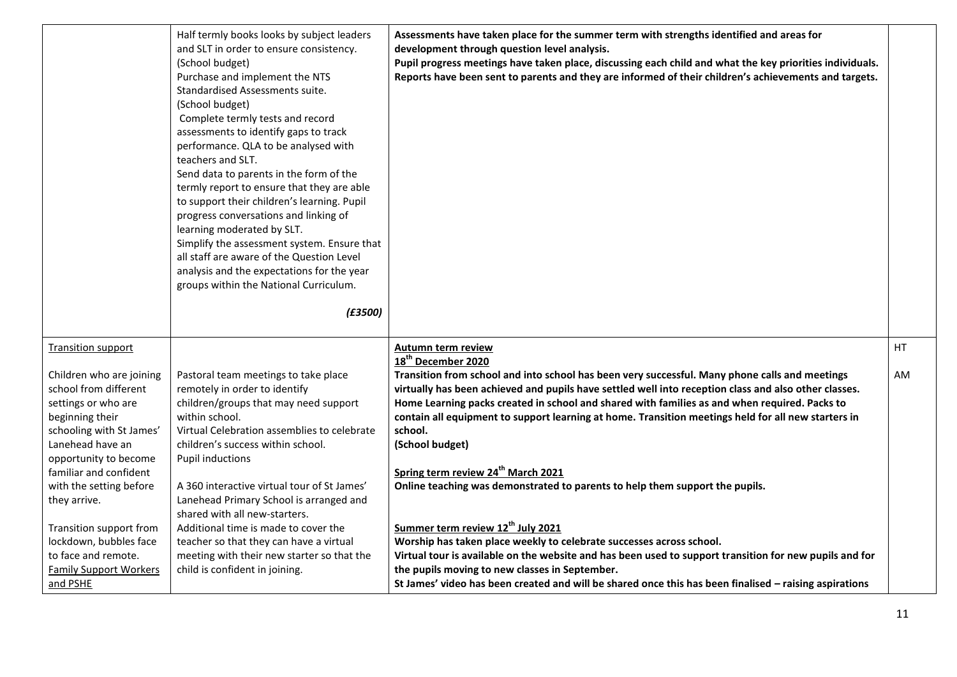|                               | Half termly books looks by subject leaders  | Assessments have taken place for the summer term with strengths identified and areas for                 |    |
|-------------------------------|---------------------------------------------|----------------------------------------------------------------------------------------------------------|----|
|                               | and SLT in order to ensure consistency.     | development through question level analysis.                                                             |    |
|                               | (School budget)                             | Pupil progress meetings have taken place, discussing each child and what the key priorities individuals. |    |
|                               | Purchase and implement the NTS              | Reports have been sent to parents and they are informed of their children's achievements and targets.    |    |
|                               | Standardised Assessments suite.             |                                                                                                          |    |
|                               | (School budget)                             |                                                                                                          |    |
|                               | Complete termly tests and record            |                                                                                                          |    |
|                               | assessments to identify gaps to track       |                                                                                                          |    |
|                               | performance. QLA to be analysed with        |                                                                                                          |    |
|                               | teachers and SLT.                           |                                                                                                          |    |
|                               | Send data to parents in the form of the     |                                                                                                          |    |
|                               | termly report to ensure that they are able  |                                                                                                          |    |
|                               | to support their children's learning. Pupil |                                                                                                          |    |
|                               | progress conversations and linking of       |                                                                                                          |    |
|                               | learning moderated by SLT.                  |                                                                                                          |    |
|                               | Simplify the assessment system. Ensure that |                                                                                                          |    |
|                               | all staff are aware of the Question Level   |                                                                                                          |    |
|                               | analysis and the expectations for the year  |                                                                                                          |    |
|                               | groups within the National Curriculum.      |                                                                                                          |    |
|                               |                                             |                                                                                                          |    |
|                               | (E3500)                                     |                                                                                                          |    |
|                               |                                             |                                                                                                          |    |
| <b>Transition support</b>     |                                             | Autumn term review                                                                                       | HT |
|                               |                                             | 18 <sup>th</sup> December 2020                                                                           |    |
| Children who are joining      | Pastoral team meetings to take place        | Transition from school and into school has been very successful. Many phone calls and meetings           | AM |
| school from different         | remotely in order to identify               | virtually has been achieved and pupils have settled well into reception class and also other classes.    |    |
| settings or who are           | children/groups that may need support       | Home Learning packs created in school and shared with families as and when required. Packs to            |    |
| beginning their               | within school.                              | contain all equipment to support learning at home. Transition meetings held for all new starters in      |    |
| schooling with St James'      | Virtual Celebration assemblies to celebrate | school.                                                                                                  |    |
| Lanehead have an              | children's success within school.           | (School budget)                                                                                          |    |
| opportunity to become         | <b>Pupil inductions</b>                     |                                                                                                          |    |
| familiar and confident        |                                             | Spring term review 24 <sup>th</sup> March 2021                                                           |    |
| with the setting before       | A 360 interactive virtual tour of St James' | Online teaching was demonstrated to parents to help them support the pupils.                             |    |
| they arrive.                  | Lanehead Primary School is arranged and     |                                                                                                          |    |
|                               | shared with all new-starters.               |                                                                                                          |    |
| Transition support from       | Additional time is made to cover the        | Summer term review 12 <sup>th</sup> July 2021                                                            |    |
| lockdown, bubbles face        | teacher so that they can have a virtual     | Worship has taken place weekly to celebrate successes across school.                                     |    |
| to face and remote.           | meeting with their new starter so that the  | Virtual tour is available on the website and has been used to support transition for new pupils and for  |    |
| <b>Family Support Workers</b> | child is confident in joining.              | the pupils moving to new classes in September.                                                           |    |
| and PSHE                      |                                             | St James' video has been created and will be shared once this has been finalised - raising aspirations   |    |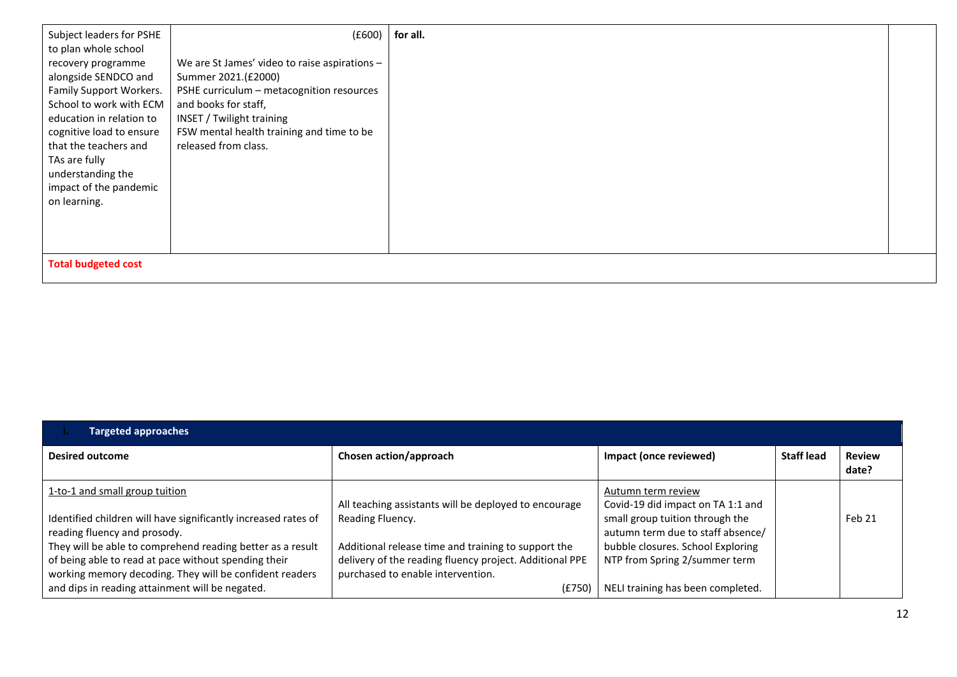| Subject leaders for PSHE                   | (E600)                                        | for all. |  |
|--------------------------------------------|-----------------------------------------------|----------|--|
| to plan whole school<br>recovery programme | We are St James' video to raise aspirations - |          |  |
| alongside SENDCO and                       | Summer 2021.(£2000)                           |          |  |
| Family Support Workers.                    | PSHE curriculum - metacognition resources     |          |  |
| School to work with ECM                    | and books for staff,                          |          |  |
| education in relation to                   | INSET / Twilight training                     |          |  |
| cognitive load to ensure                   | FSW mental health training and time to be     |          |  |
| that the teachers and                      | released from class.                          |          |  |
| TAs are fully                              |                                               |          |  |
| understanding the                          |                                               |          |  |
| impact of the pandemic                     |                                               |          |  |
| on learning.                               |                                               |          |  |
|                                            |                                               |          |  |
|                                            |                                               |          |  |
|                                            |                                               |          |  |
| <b>Total budgeted cost</b>                 |                                               |          |  |

| <b>Targeted approaches</b>                                                                                         |                                                                                                                |                                                                      |                   |                        |
|--------------------------------------------------------------------------------------------------------------------|----------------------------------------------------------------------------------------------------------------|----------------------------------------------------------------------|-------------------|------------------------|
| <b>Desired outcome</b>                                                                                             | Chosen action/approach                                                                                         | Impact (once reviewed)                                               | <b>Staff lead</b> | <b>Review</b><br>date? |
| 1-to-1 and small group tuition                                                                                     | All teaching assistants will be deployed to encourage                                                          | Autumn term review<br>Covid-19 did impact on TA 1:1 and              |                   |                        |
| Identified children will have significantly increased rates of<br>reading fluency and prosody.                     | Reading Fluency.                                                                                               | small group tuition through the<br>autumn term due to staff absence/ |                   | Feb 21                 |
| They will be able to comprehend reading better as a result<br>of being able to read at pace without spending their | Additional release time and training to support the<br>delivery of the reading fluency project. Additional PPE | bubble closures. School Exploring<br>NTP from Spring 2/summer term   |                   |                        |
| working memory decoding. They will be confident readers<br>and dips in reading attainment will be negated.         | purchased to enable intervention.<br>(E750)                                                                    | NELI training has been completed.                                    |                   |                        |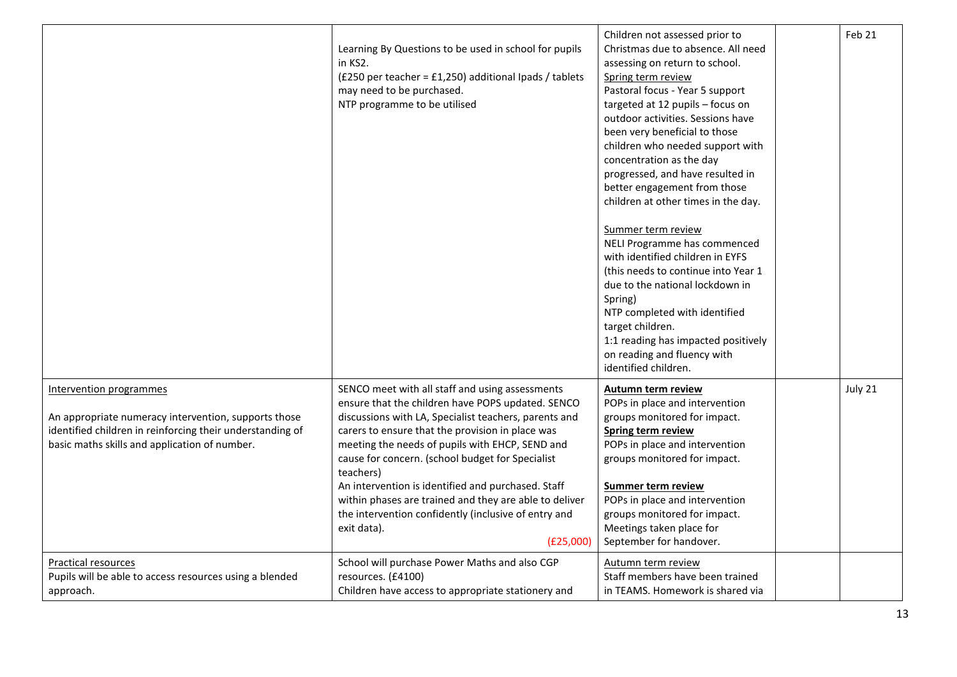|                                                                                                                                                                                               | Learning By Questions to be used in school for pupils<br>in KS2.<br>(£250 per teacher = £1,250) additional Ipads / tablets<br>may need to be purchased.<br>NTP programme to be utilised                                                                                                                                                                                                                                                                                                                                                   | Children not assessed prior to<br>Christmas due to absence. All need<br>assessing on return to school.<br>Spring term review<br>Pastoral focus - Year 5 support<br>targeted at 12 pupils - focus on<br>outdoor activities. Sessions have<br>been very beneficial to those<br>children who needed support with<br>concentration as the day<br>progressed, and have resulted in<br>better engagement from those<br>children at other times in the day.<br>Summer term review<br>NELI Programme has commenced<br>with identified children in EYFS<br>(this needs to continue into Year 1<br>due to the national lockdown in<br>Spring)<br>NTP completed with identified<br>target children.<br>1:1 reading has impacted positively<br>on reading and fluency with<br>identified children. | Feb 21  |
|-----------------------------------------------------------------------------------------------------------------------------------------------------------------------------------------------|-------------------------------------------------------------------------------------------------------------------------------------------------------------------------------------------------------------------------------------------------------------------------------------------------------------------------------------------------------------------------------------------------------------------------------------------------------------------------------------------------------------------------------------------|----------------------------------------------------------------------------------------------------------------------------------------------------------------------------------------------------------------------------------------------------------------------------------------------------------------------------------------------------------------------------------------------------------------------------------------------------------------------------------------------------------------------------------------------------------------------------------------------------------------------------------------------------------------------------------------------------------------------------------------------------------------------------------------|---------|
| Intervention programmes<br>An appropriate numeracy intervention, supports those<br>identified children in reinforcing their understanding of<br>basic maths skills and application of number. | SENCO meet with all staff and using assessments<br>ensure that the children have POPS updated. SENCO<br>discussions with LA, Specialist teachers, parents and<br>carers to ensure that the provision in place was<br>meeting the needs of pupils with EHCP, SEND and<br>cause for concern. (school budget for Specialist<br>teachers)<br>An intervention is identified and purchased. Staff<br>within phases are trained and they are able to deliver<br>the intervention confidently (inclusive of entry and<br>exit data).<br>(E25,000) | Autumn term review<br>POPs in place and intervention<br>groups monitored for impact.<br>Spring term review<br>POPs in place and intervention<br>groups monitored for impact.<br><b>Summer term review</b><br>POPs in place and intervention<br>groups monitored for impact.<br>Meetings taken place for<br>September for handover.                                                                                                                                                                                                                                                                                                                                                                                                                                                     | July 21 |
| <b>Practical resources</b><br>Pupils will be able to access resources using a blended<br>approach.                                                                                            | School will purchase Power Maths and also CGP<br>resources. (£4100)<br>Children have access to appropriate stationery and                                                                                                                                                                                                                                                                                                                                                                                                                 | Autumn term review<br>Staff members have been trained<br>in TEAMS. Homework is shared via                                                                                                                                                                                                                                                                                                                                                                                                                                                                                                                                                                                                                                                                                              |         |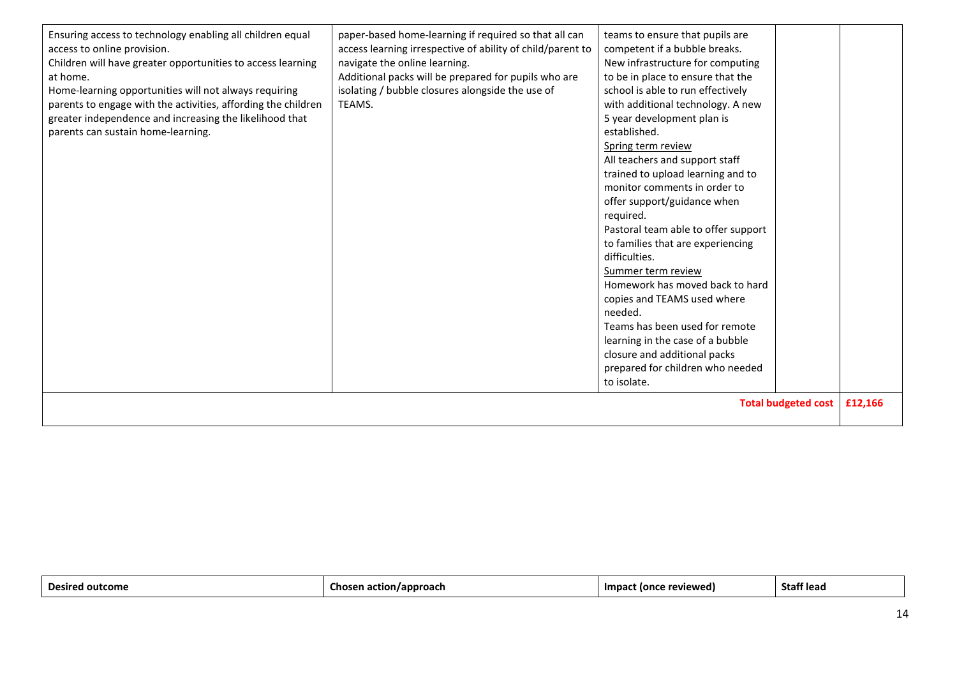| <b>Total budgeted cost</b><br>£12,166 |
|---------------------------------------|
|---------------------------------------|

| nac<br>/approach<br>Impa<br>reviewed)<br>Staff lead<br>ton.<br>ome<br>ิดเ |
|---------------------------------------------------------------------------|
|---------------------------------------------------------------------------|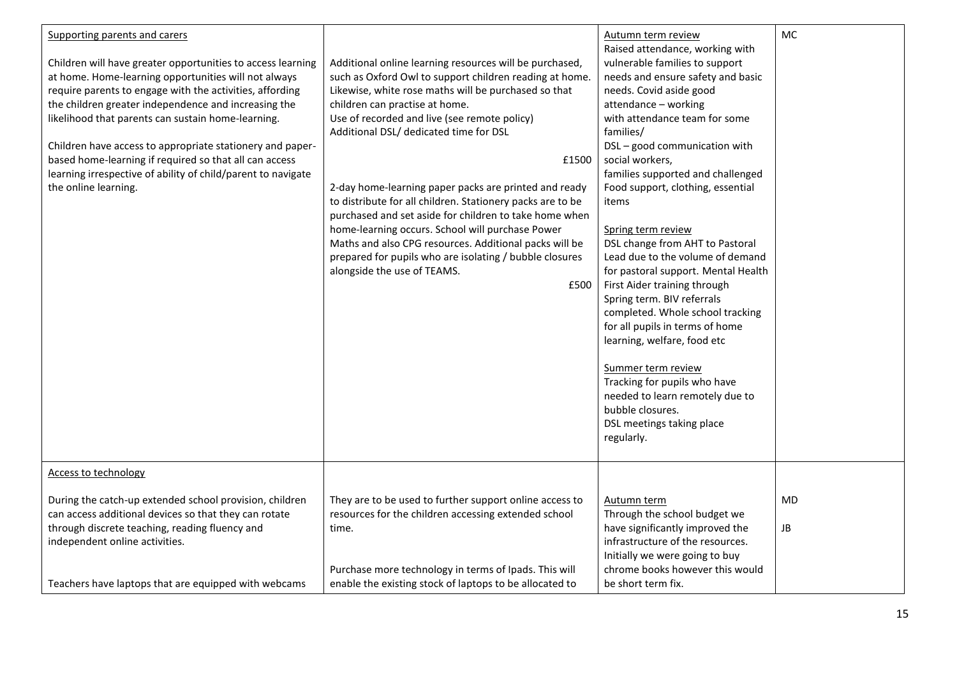| Supporting parents and carers<br>Children will have greater opportunities to access learning<br>at home. Home-learning opportunities will not always<br>require parents to engage with the activities, affording<br>the children greater independence and increasing the<br>likelihood that parents can sustain home-learning.<br>Children have access to appropriate stationery and paper-<br>based home-learning if required so that all can access<br>learning irrespective of ability of child/parent to navigate<br>the online learning. | Additional online learning resources will be purchased,<br>such as Oxford Owl to support children reading at home.<br>Likewise, white rose maths will be purchased so that<br>children can practise at home.<br>Use of recorded and live (see remote policy)<br>Additional DSL/ dedicated time for DSL<br>£1500<br>2-day home-learning paper packs are printed and ready<br>to distribute for all children. Stationery packs are to be<br>purchased and set aside for children to take home when<br>home-learning occurs. School will purchase Power<br>Maths and also CPG resources. Additional packs will be<br>prepared for pupils who are isolating / bubble closures<br>alongside the use of TEAMS.<br>£500 | Autumn term review<br>Raised attendance, working with<br>vulnerable families to support<br>needs and ensure safety and basic<br>needs. Covid aside good<br>attendance - working<br>with attendance team for some<br>families/<br>DSL-good communication with<br>social workers,<br>families supported and challenged<br>Food support, clothing, essential<br>items<br>Spring term review<br>DSL change from AHT to Pastoral<br>Lead due to the volume of demand<br>for pastoral support. Mental Health<br>First Aider training through<br>Spring term. BIV referrals<br>completed. Whole school tracking<br>for all pupils in terms of home<br>learning, welfare, food etc<br>Summer term review<br>Tracking for pupils who have<br>needed to learn remotely due to<br>bubble closures.<br>DSL meetings taking place<br>regularly. | MC       |
|-----------------------------------------------------------------------------------------------------------------------------------------------------------------------------------------------------------------------------------------------------------------------------------------------------------------------------------------------------------------------------------------------------------------------------------------------------------------------------------------------------------------------------------------------|------------------------------------------------------------------------------------------------------------------------------------------------------------------------------------------------------------------------------------------------------------------------------------------------------------------------------------------------------------------------------------------------------------------------------------------------------------------------------------------------------------------------------------------------------------------------------------------------------------------------------------------------------------------------------------------------------------------|------------------------------------------------------------------------------------------------------------------------------------------------------------------------------------------------------------------------------------------------------------------------------------------------------------------------------------------------------------------------------------------------------------------------------------------------------------------------------------------------------------------------------------------------------------------------------------------------------------------------------------------------------------------------------------------------------------------------------------------------------------------------------------------------------------------------------------|----------|
| Access to technology                                                                                                                                                                                                                                                                                                                                                                                                                                                                                                                          |                                                                                                                                                                                                                                                                                                                                                                                                                                                                                                                                                                                                                                                                                                                  |                                                                                                                                                                                                                                                                                                                                                                                                                                                                                                                                                                                                                                                                                                                                                                                                                                    |          |
| During the catch-up extended school provision, children<br>can access additional devices so that they can rotate<br>through discrete teaching, reading fluency and<br>independent online activities.<br>Teachers have laptops that are equipped with webcams                                                                                                                                                                                                                                                                                  | They are to be used to further support online access to<br>resources for the children accessing extended school<br>time.<br>Purchase more technology in terms of Ipads. This will<br>enable the existing stock of laptops to be allocated to                                                                                                                                                                                                                                                                                                                                                                                                                                                                     | Autumn term<br>Through the school budget we<br>have significantly improved the<br>infrastructure of the resources.<br>Initially we were going to buy<br>chrome books however this would<br>be short term fix.                                                                                                                                                                                                                                                                                                                                                                                                                                                                                                                                                                                                                      | MD<br>JB |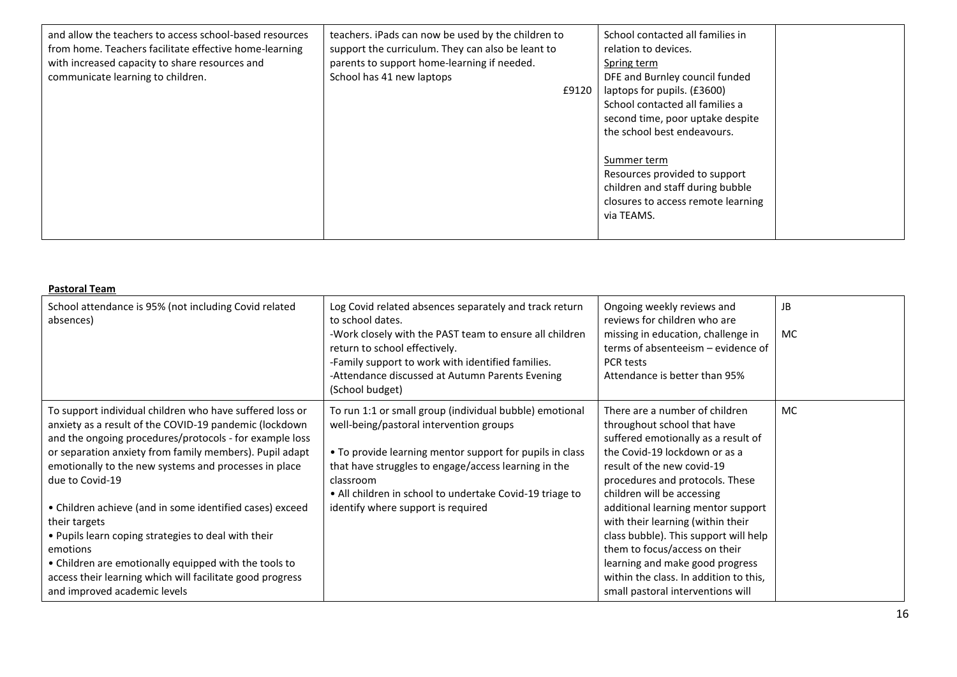| and allow the teachers to access school-based resources<br>from home. Teachers facilitate effective home-learning<br>with increased capacity to share resources and | teachers. iPads can now be used by the children to<br>support the curriculum. They can also be leant to<br>parents to support home-learning if needed. | School contacted all families in<br>relation to devices.<br>Spring term |  |
|---------------------------------------------------------------------------------------------------------------------------------------------------------------------|--------------------------------------------------------------------------------------------------------------------------------------------------------|-------------------------------------------------------------------------|--|
| communicate learning to children.                                                                                                                                   | School has 41 new laptops                                                                                                                              | DFE and Burnley council funded                                          |  |
|                                                                                                                                                                     | £9120                                                                                                                                                  | laptops for pupils. (£3600)                                             |  |
|                                                                                                                                                                     |                                                                                                                                                        | School contacted all families a                                         |  |
|                                                                                                                                                                     |                                                                                                                                                        | second time, poor uptake despite                                        |  |
|                                                                                                                                                                     |                                                                                                                                                        | the school best endeavours.                                             |  |
|                                                                                                                                                                     |                                                                                                                                                        |                                                                         |  |
|                                                                                                                                                                     |                                                                                                                                                        | Summer term                                                             |  |
|                                                                                                                                                                     |                                                                                                                                                        | Resources provided to support                                           |  |
|                                                                                                                                                                     |                                                                                                                                                        | children and staff during bubble                                        |  |
|                                                                                                                                                                     |                                                                                                                                                        | closures to access remote learning                                      |  |
|                                                                                                                                                                     |                                                                                                                                                        | via TEAMS.                                                              |  |
|                                                                                                                                                                     |                                                                                                                                                        |                                                                         |  |
|                                                                                                                                                                     |                                                                                                                                                        |                                                                         |  |

| <b>Pastoral Team</b>                                                                                                                                                                                                                                                                                                                                                                                                                                                                                                                                                                                                       |                                                                                                                                                                                                                                                                                                                                       |                                                                                                                                                                                                                                                                                                                                                                                                                                                                                                             |                  |
|----------------------------------------------------------------------------------------------------------------------------------------------------------------------------------------------------------------------------------------------------------------------------------------------------------------------------------------------------------------------------------------------------------------------------------------------------------------------------------------------------------------------------------------------------------------------------------------------------------------------------|---------------------------------------------------------------------------------------------------------------------------------------------------------------------------------------------------------------------------------------------------------------------------------------------------------------------------------------|-------------------------------------------------------------------------------------------------------------------------------------------------------------------------------------------------------------------------------------------------------------------------------------------------------------------------------------------------------------------------------------------------------------------------------------------------------------------------------------------------------------|------------------|
| School attendance is 95% (not including Covid related<br>absences)                                                                                                                                                                                                                                                                                                                                                                                                                                                                                                                                                         | Log Covid related absences separately and track return<br>to school dates.<br>-Work closely with the PAST team to ensure all children<br>return to school effectively.<br>-Family support to work with identified families.<br>-Attendance discussed at Autumn Parents Evening<br>(School budget)                                     | Ongoing weekly reviews and<br>reviews for children who are<br>missing in education, challenge in<br>terms of absenteeism – evidence of<br><b>PCR tests</b><br>Attendance is better than 95%                                                                                                                                                                                                                                                                                                                 | <b>JB</b><br>MC. |
| To support individual children who have suffered loss or<br>anxiety as a result of the COVID-19 pandemic (lockdown<br>and the ongoing procedures/protocols - for example loss<br>or separation anxiety from family members). Pupil adapt<br>emotionally to the new systems and processes in place<br>due to Covid-19<br>• Children achieve (and in some identified cases) exceed<br>their targets<br>• Pupils learn coping strategies to deal with their<br>emotions<br>• Children are emotionally equipped with the tools to<br>access their learning which will facilitate good progress<br>and improved academic levels | To run 1:1 or small group (individual bubble) emotional<br>well-being/pastoral intervention groups<br>• To provide learning mentor support for pupils in class<br>that have struggles to engage/access learning in the<br>classroom<br>• All children in school to undertake Covid-19 triage to<br>identify where support is required | There are a number of children<br>throughout school that have<br>suffered emotionally as a result of<br>the Covid-19 lockdown or as a<br>result of the new covid-19<br>procedures and protocols. These<br>children will be accessing<br>additional learning mentor support<br>with their learning (within their<br>class bubble). This support will help<br>them to focus/access on their<br>learning and make good progress<br>within the class. In addition to this,<br>small pastoral interventions will | <b>MC</b>        |